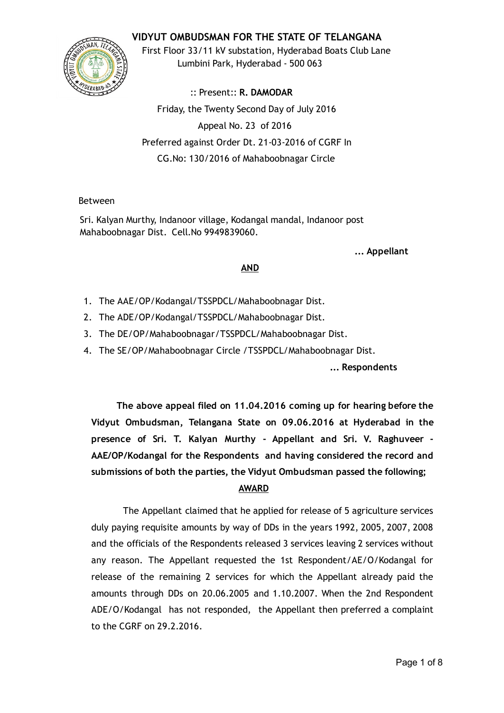## VIDYUT OMBUDSMAN FOR THE STATE OF TELANGANA



First Floor 33/11 kV substation, Hyderabad Boats Club Lane Lumbini Park, Hyderabad ‐ 500 063

:: Present:: R. DAMODAR Friday, the Twenty Second Day of July 2016 Appeal No. 23 of 2016 Preferred against Order Dt. 21‐03‐2016 of CGRF In CG.No: 130/2016 of Mahaboobnagar Circle

### Between

Sri. Kalyan Murthy, Indanoor village, Kodangal mandal, Indanoor post Mahaboobnagar Dist. Cell.No 9949839060.

... Appellant

### AND

- 1. The AAE/OP/Kodangal/TSSPDCL/Mahaboobnagar Dist.
- 2. The ADE/OP/Kodangal/TSSPDCL/Mahaboobnagar Dist.
- 3. The DE/OP/Mahaboobnagar/TSSPDCL/Mahaboobnagar Dist.
- 4. The SE/OP/Mahaboobnagar Circle /TSSPDCL/Mahaboobnagar Dist.

... Respondents

The above appeal filed on 11.04.2016 coming up for hearing before the Vidyut Ombudsman, Telangana State on 09.06.2016 at Hyderabad in the presence of Sri. T. Kalyan Murthy ‐ Appellant and Sri. V. Raghuveer ‐ AAE/OP/Kodangal for the Respondents and having considered the record and submissions of both the parties, the Vidyut Ombudsman passed the following;

# AWARD

The Appellant claimed that he applied for release of 5 agriculture services duly paying requisite amounts by way of DDs in the years 1992, 2005, 2007, 2008 and the officials of the Respondents released 3 services leaving 2 services without any reason. The Appellant requested the 1st Respondent/AE/O/Kodangal for release of the remaining 2 services for which the Appellant already paid the amounts through DDs on 20.06.2005 and 1.10.2007. When the 2nd Respondent ADE/O/Kodangal has not responded, the Appellant then preferred a complaint to the CGRF on 29.2.2016.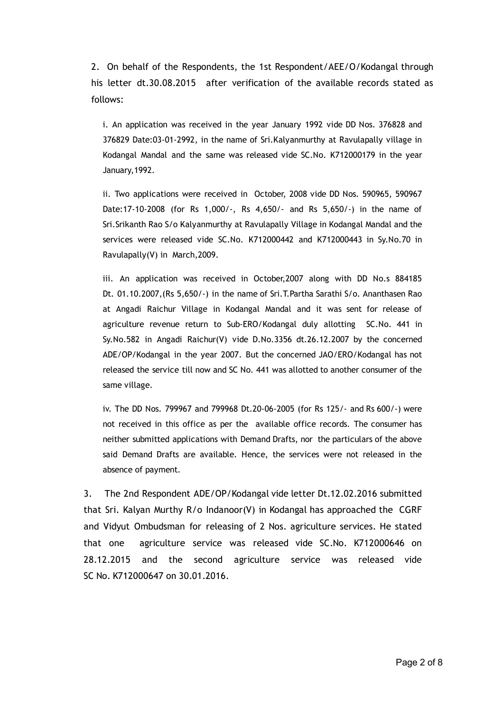2. On behalf of the Respondents, the 1st Respondent/AEE/O/Kodangal through his letter dt.30.08.2015 after verification of the available records stated as follows:

i. An application was received in the year January 1992 vide DD Nos. 376828 and 376829 Date:03‐01‐2992, in the name of Sri.Kalyanmurthy at Ravulapally village in Kodangal Mandal and the same was released vide SC.No. K712000179 in the year January,1992.

ii. Two applications were received in October, 2008 vide DD Nos. 590965, 590967 Date:17‐10‐2008 (for Rs 1,000/‐, Rs 4,650/‐ and Rs 5,650/‐) in the name of Sri.Srikanth Rao S/o Kalyanmurthy at Ravulapally Village in Kodangal Mandal and the services were released vide SC.No. K712000442 and K712000443 in Sy.No.70 in Ravulapally(V) in March,2009.

iii. An application was received in October,2007 along with DD No.s 884185 Dt. 01.10.2007, (Rs 5,650/-) in the name of Sri.T.Partha Sarathi S/o. Ananthasen Rao at Angadi Raichur Village in Kodangal Mandal and it was sent for release of agriculture revenue return to Sub-ERO/Kodangal duly allotting SC.No. 441 in Sy.No.582 in Angadi Raichur(V) vide D.No.3356 dt.26.12.2007 by the concerned ADE/OP/Kodangal in the year 2007. But the concerned JAO/ERO/Kodangal has not released the service till now and SC No. 441 was allotted to another consumer of the same village.

iv. The DD Nos. 799967 and 799968 Dt.20‐06‐2005 (for Rs 125/‐ and Rs 600/‐) were not received in this office as per the available office records. The consumer has neither submitted applications with Demand Drafts, nor the particulars of the above said Demand Drafts are available. Hence, the services were not released in the absence of payment.

3. The 2nd Respondent ADE/OP/Kodangal vide letter Dt.12.02.2016 submitted that Sri. Kalyan Murthy R/o Indanoor(V) in Kodangal has approached the CGRF and Vidyut Ombudsman for releasing of 2 Nos. agriculture services. He stated that one agriculture service was released vide SC.No. K712000646 on 28.12.2015 and the second agriculture service was released vide SC No. K712000647 on 30.01.2016.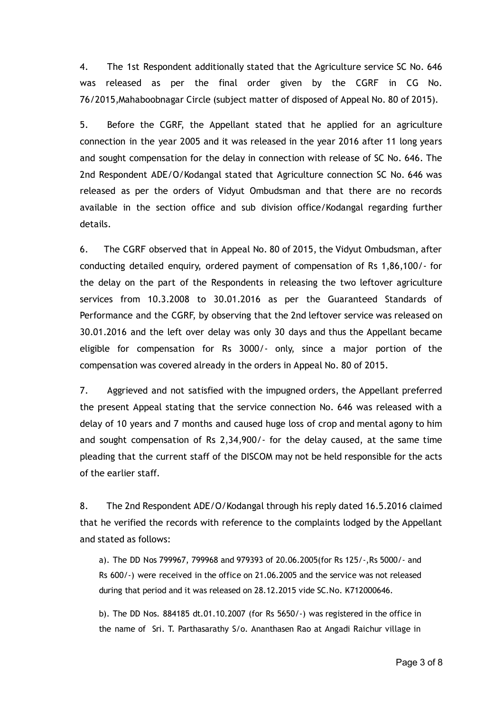4. The 1st Respondent additionally stated that the Agriculture service SC No. 646 was released as per the final order given by the CGRF in CG No. 76/2015,Mahaboobnagar Circle (subject matter of disposed of Appeal No. 80 of 2015).

5. Before the CGRF, the Appellant stated that he applied for an agriculture connection in the year 2005 and it was released in the year 2016 after 11 long years and sought compensation for the delay in connection with release of SC No. 646. The 2nd Respondent ADE/O/Kodangal stated that Agriculture connection SC No. 646 was released as per the orders of Vidyut Ombudsman and that there are no records available in the section office and sub division office/Kodangal regarding further details.

6. The CGRF observed that in Appeal No. 80 of 2015, the Vidyut Ombudsman, after conducting detailed enquiry, ordered payment of compensation of Rs 1,86,100/‐ for the delay on the part of the Respondents in releasing the two leftover agriculture services from 10.3.2008 to 30.01.2016 as per the Guaranteed Standards of Performance and the CGRF, by observing that the 2nd leftover service was released on 30.01.2016 and the left over delay was only 30 days and thus the Appellant became eligible for compensation for Rs 3000/‐ only, since a major portion of the compensation was covered already in the orders in Appeal No. 80 of 2015.

7. Aggrieved and not satisfied with the impugned orders, the Appellant preferred the present Appeal stating that the service connection No. 646 was released with a delay of 10 years and 7 months and caused huge loss of crop and mental agony to him and sought compensation of Rs 2,34,900/‐ for the delay caused, at the same time pleading that the current staff of the DISCOM may not be held responsible for the acts of the earlier staff.

8. The 2nd Respondent ADE/O/Kodangal through his reply dated 16.5.2016 claimed that he verified the records with reference to the complaints lodged by the Appellant and stated as follows:

a). The DD Nos 799967, 799968 and 979393 of 20.06.2005(for Rs 125/‐,Rs 5000/‐ and Rs 600/‐) were received in the office on 21.06.2005 and the service was not released during that period and it was released on 28.12.2015 vide SC.No. K712000646.

b). The DD Nos. 884185 dt.01.10.2007 (for Rs 5650/‐) was registered in the office in the name of Sri. T. Parthasarathy S/o. Ananthasen Rao at Angadi Raichur village in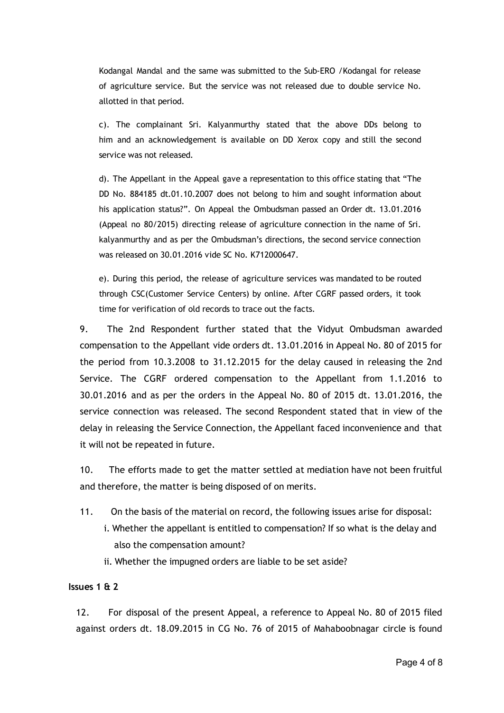Kodangal Mandal and the same was submitted to the Sub‐ERO /Kodangal for release of agriculture service. But the service was not released due to double service No. allotted in that period.

c). The complainant Sri. Kalyanmurthy stated that the above DDs belong to him and an acknowledgement is available on DD Xerox copy and still the second service was not released.

d). The Appellant in the Appeal gave a representation to this office stating that "The DD No. 884185 dt.01.10.2007 does not belong to him and sought information about his application status?". On Appeal the Ombudsman passed an Order dt. 13.01.2016 (Appeal no 80/2015) directing release of agriculture connection in the name of Sri. kalyanmurthy and as per the Ombudsman's directions, the second service connection was released on 30.01.2016 vide SC No. K712000647.

e). During this period, the release of agriculture services was mandated to be routed through CSC(Customer Service Centers) by online. After CGRF passed orders, it took time for verification of old records to trace out the facts.

9. The 2nd Respondent further stated that the Vidyut Ombudsman awarded compensation to the Appellant vide orders dt. 13.01.2016 in Appeal No. 80 of 2015 for the period from 10.3.2008 to 31.12.2015 for the delay caused in releasing the 2nd Service. The CGRF ordered compensation to the Appellant from 1.1.2016 to 30.01.2016 and as per the orders in the Appeal No. 80 of 2015 dt. 13.01.2016, the service connection was released. The second Respondent stated that in view of the delay in releasing the Service Connection, the Appellant faced inconvenience and that it will not be repeated in future.

10. The efforts made to get the matter settled at mediation have not been fruitful and therefore, the matter is being disposed of on merits.

- 11. On the basis of the material on record, the following issues arise for disposal:
	- i. Whether the appellant is entitled to compensation? If so what is the delay and also the compensation amount?
	- ii. Whether the impugned orders are liable to be set aside?

#### Issues 1 & 2

12. For disposal of the present Appeal, a reference to Appeal No. 80 of 2015 filed against orders dt. 18.09.2015 in CG No. 76 of 2015 of Mahaboobnagar circle is found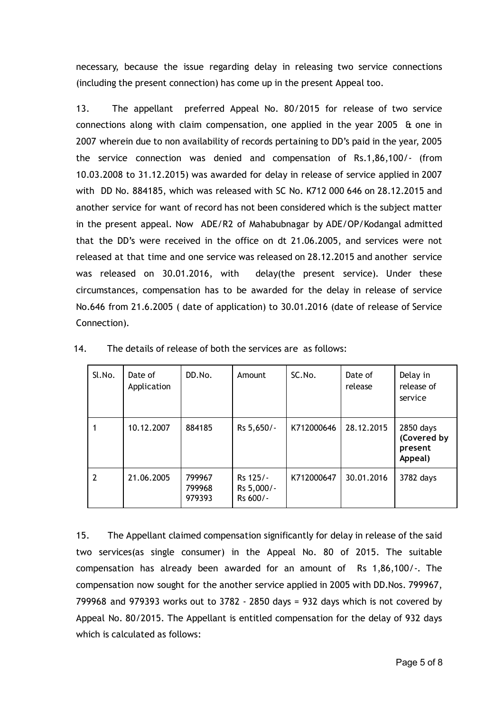necessary, because the issue regarding delay in releasing two service connections (including the present connection) has come up in the present Appeal too.

13. The appellant preferred Appeal No. 80/2015 for release of two service connections along with claim compensation, one applied in the year 2005 & one in 2007 wherein due to non availability of records pertaining to DD's paid in the year, 2005 the service connection was denied and compensation of Rs.1,86,100/‐ (from 10.03.2008 to 31.12.2015) was awarded for delay in release of service applied in 2007 with DD No. 884185, which was released with SC No. K712 000 646 on 28.12.2015 and another service for want of record has not been considered which is the subject matter in the present appeal. Now ADE/R2 of Mahabubnagar by ADE/OP/Kodangal admitted that the DD's were received in the office on dt 21.06.2005, and services were not released at that time and one service was released on 28.12.2015 and another service was released on 30.01.2016, with delay(the present service). Under these circumstances, compensation has to be awarded for the delay in release of service No.646 from 21.6.2005 ( date of application) to 30.01.2016 (date of release of Service Connection).

| Sl.No. | Date of<br>Application | DD.No.                     | Amount                             | SC.No.     | Date of<br>release | Delay in<br>release of<br>service              |
|--------|------------------------|----------------------------|------------------------------------|------------|--------------------|------------------------------------------------|
|        | 10.12.2007             | 884185                     | Rs 5,650/-                         | K712000646 | 28.12.2015         | 2850 days<br>(Covered by<br>present<br>Appeal) |
| 2      | 21.06.2005             | 799967<br>799968<br>979393 | Rs 125/-<br>Rs 5,000/-<br>Rs 600/- | K712000647 | 30.01.2016         | 3782 days                                      |

14. The details of release of both the services are as follows:

15. The Appellant claimed compensation significantly for delay in release of the said two services(as single consumer) in the Appeal No. 80 of 2015. The suitable compensation has already been awarded for an amount of Rs 1,86,100/‐. The compensation now sought for the another service applied in 2005 with DD.Nos. 799967, 799968 and 979393 works out to 3782 ‐ 2850 days = 932 days which is not covered by Appeal No. 80/2015. The Appellant is entitled compensation for the delay of 932 days which is calculated as follows: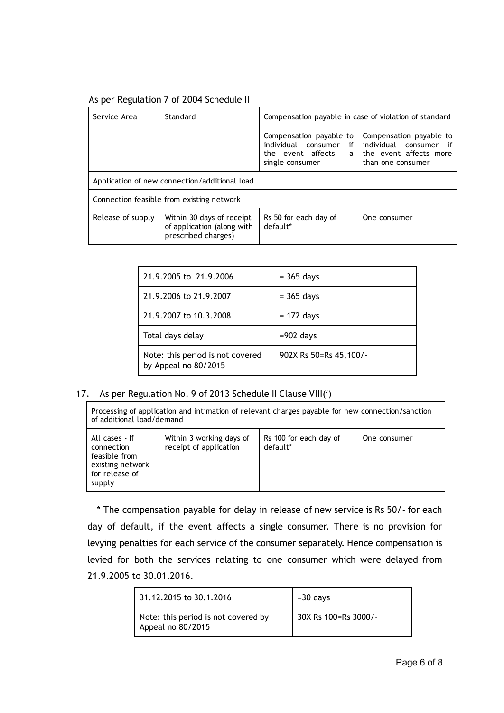# As per Regulation 7 of 2004 Schedule II

| Service Area<br>Standard                      |                                                                                | Compensation payable in case of violation of standard                                        |                                                                                                      |  |
|-----------------------------------------------|--------------------------------------------------------------------------------|----------------------------------------------------------------------------------------------|------------------------------------------------------------------------------------------------------|--|
|                                               |                                                                                | Compensation payable to<br>individual consumer<br>if<br>the event affects<br>single consumer | Compensation payable to<br>individual consumer if<br>a I the event affects more<br>than one consumer |  |
| Application of new connection/additional load |                                                                                |                                                                                              |                                                                                                      |  |
| Connection feasible from existing network     |                                                                                |                                                                                              |                                                                                                      |  |
| Release of supply                             | Within 30 days of receipt<br>of application (along with<br>prescribed charges) | Rs 50 for each day of<br>default*                                                            | One consumer                                                                                         |  |

| 21.9.2005 to 21.9.2006                                   | $=$ 365 days           |
|----------------------------------------------------------|------------------------|
| 21.9.2006 to 21.9.2007                                   | $=$ 365 days           |
| 21.9.2007 to 10.3.2008                                   | $= 172$ days           |
| Total days delay                                         | $=902$ days            |
| Note: this period is not covered<br>by Appeal no 80/2015 | 902X Rs 50=Rs 45,100/- |

### 17. As per Regulation No. 9 of 2013 Schedule II Clause VIII(i)

Processing of application and intimation of relevant charges payable for new connection/sanction of additional load/demand

| All cases - If<br>connection<br>feasible from<br>existing network<br>for release of | Within 3 working days of<br>receipt of application | Rs 100 for each day of<br>default* | One consumer |
|-------------------------------------------------------------------------------------|----------------------------------------------------|------------------------------------|--------------|
| supply                                                                              |                                                    |                                    |              |

\* The compensation payable for delay in release of new service is Rs 50/‐ for each day of default, if the event affects a single consumer. There is no provision for levying penalties for each service of the consumer separately. Hence compensation is levied for both the services relating to one consumer which were delayed from 21.9.2005 to 30.01.2016.

| 31.12.2015 to 30.1.2016                                  | $=$ 30 days          |
|----------------------------------------------------------|----------------------|
| Note: this period is not covered by<br>Appeal no 80/2015 | 30X Rs 100=Rs 3000/- |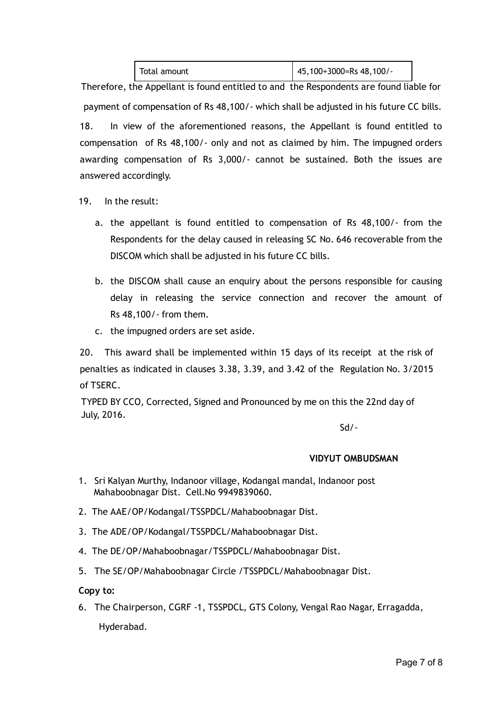| Total amount | $145,100+3000=Rs 48,100/$ |
|--------------|---------------------------|
|--------------|---------------------------|

Therefore, the Appellant is found entitled to and the Respondents are found liable for payment of compensation of Rs 48,100/‐ which shall be adjusted in his future CC bills. 18. In view of the aforementioned reasons, the Appellant is found entitled to compensation of Rs 48,100/‐ only and not as claimed by him. The impugned orders awarding compensation of Rs 3,000/‐ cannot be sustained. Both the issues are answered accordingly.

- 19. In the result:
	- a. the appellant is found entitled to compensation of Rs 48,100/‐ from the Respondents for the delay caused in releasing SC No. 646 recoverable from the DISCOM which shall be adjusted in his future CC bills.
	- b. the DISCOM shall cause an enquiry about the persons responsible for causing delay in releasing the service connection and recover the amount of Rs 48,100/‐ from them.
	- c. the impugned orders are set aside.

20. This award shall be implemented within 15 days of its receipt at the risk of penalties as indicated in clauses 3.38, 3.39, and 3.42 of the Regulation No. 3/2015 of TSERC.

TYPED BY CCO, Corrected, Signed and Pronounced by me on this the 22nd day of July, 2016.

Sd/‐

# VIDYUT OMBUDSMAN

- 1. Sri Kalyan Murthy, Indanoor village, Kodangal mandal, Indanoor post Mahaboobnagar Dist. Cell.No 9949839060.
- 2. The AAE/OP/Kodangal/TSSPDCL/Mahaboobnagar Dist.
- 3. The ADE/OP/Kodangal/TSSPDCL/Mahaboobnagar Dist.
- 4. The DE/OP/Mahaboobnagar/TSSPDCL/Mahaboobnagar Dist.
- 5. The SE/OP/Mahaboobnagar Circle /TSSPDCL/Mahaboobnagar Dist.

### Copy to:

6. The Chairperson, CGRF ‐1, TSSPDCL, GTS Colony, Vengal Rao Nagar, Erragadda, Hyderabad.